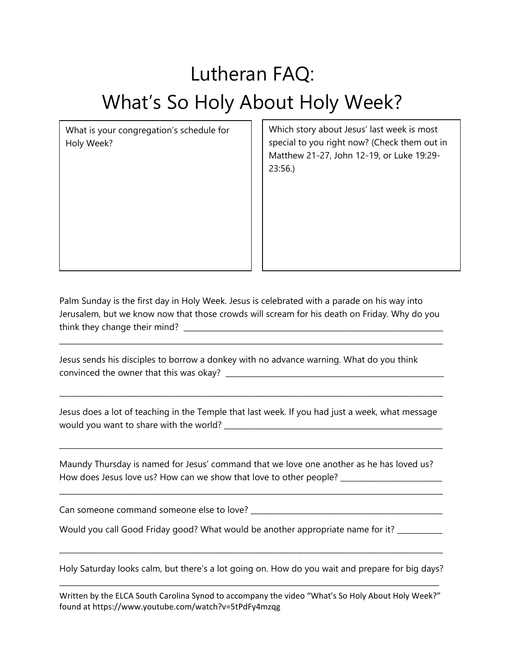## Lutheran FAQ: What's So Holy About Holy Week?

What is your congregation's schedule for Holy Week?

Which story about Jesus' last week is most special to you right now? (Check them out in Matthew 21-27, John 12-19, or Luke 19:29- 23:56.)

Palm Sunday is the first day in Holy Week. Jesus is celebrated with a parade on his way into Jerusalem, but we know now that those crowds will scream for his death on Friday. Why do you think they change their mind? \_\_\_\_\_\_\_\_\_\_\_\_\_\_\_\_\_\_\_\_\_\_\_\_\_\_\_\_\_\_\_\_\_\_\_\_\_\_\_\_\_\_\_\_\_\_\_\_\_\_\_\_\_\_\_\_\_\_\_\_\_\_\_\_\_\_\_\_\_

\_\_\_\_\_\_\_\_\_\_\_\_\_\_\_\_\_\_\_\_\_\_\_\_\_\_\_\_\_\_\_\_\_\_\_\_\_\_\_\_\_\_\_\_\_\_\_\_\_\_\_\_\_\_\_\_\_\_\_\_\_\_\_\_\_\_\_\_\_\_\_\_\_\_\_\_\_\_\_\_\_\_\_\_\_\_\_\_\_\_\_\_\_\_\_\_\_\_\_\_\_\_

Jesus sends his disciples to borrow a donkey with no advance warning. What do you think convinced the owner that this was okay? \_\_\_\_\_\_\_\_\_\_\_\_\_\_\_\_\_\_\_\_\_\_\_\_\_\_\_\_\_\_\_\_\_\_\_\_\_\_\_\_\_\_\_\_\_\_\_\_\_\_\_\_\_\_\_\_\_\_

Jesus does a lot of teaching in the Temple that last week. If you had just a week, what message would you want to share with the world? \_\_\_\_\_\_\_\_\_\_\_\_\_\_\_\_\_\_\_\_\_\_\_\_\_\_\_\_\_\_\_\_\_\_\_\_\_\_\_\_\_\_\_\_\_\_\_\_\_\_\_\_\_\_\_\_\_\_

\_\_\_\_\_\_\_\_\_\_\_\_\_\_\_\_\_\_\_\_\_\_\_\_\_\_\_\_\_\_\_\_\_\_\_\_\_\_\_\_\_\_\_\_\_\_\_\_\_\_\_\_\_\_\_\_\_\_\_\_\_\_\_\_\_\_\_\_\_\_\_\_\_\_\_\_\_\_\_\_\_\_\_\_\_\_\_\_\_\_\_\_\_\_\_\_\_\_\_\_\_\_

\_\_\_\_\_\_\_\_\_\_\_\_\_\_\_\_\_\_\_\_\_\_\_\_\_\_\_\_\_\_\_\_\_\_\_\_\_\_\_\_\_\_\_\_\_\_\_\_\_\_\_\_\_\_\_\_\_\_\_\_\_\_\_\_\_\_\_\_\_\_\_\_\_\_\_\_\_\_\_\_\_\_\_\_\_\_\_\_\_\_\_\_\_\_\_\_\_\_\_\_\_\_

Maundy Thursday is named for Jesus' command that we love one another as he has loved us? How does Jesus love us? How can we show that love to other people? \_\_\_\_\_\_\_\_\_\_\_\_\_

\_\_\_\_\_\_\_\_\_\_\_\_\_\_\_\_\_\_\_\_\_\_\_\_\_\_\_\_\_\_\_\_\_\_\_\_\_\_\_\_\_\_\_\_\_\_\_\_\_\_\_\_\_\_\_\_\_\_\_\_\_\_\_\_\_\_\_\_\_\_\_\_\_\_\_\_\_\_\_\_\_\_\_\_\_\_\_\_\_\_\_\_\_\_\_\_\_\_\_\_\_\_

Can someone command someone else to love? \_\_\_\_\_\_\_\_\_\_\_\_\_\_\_\_\_\_\_\_\_\_\_\_\_\_\_\_\_\_\_\_\_\_\_\_\_\_\_\_\_\_\_\_\_\_\_\_\_\_\_

Would you call Good Friday good? What would be another appropriate name for it? \_\_\_\_\_\_\_

Holy Saturday looks calm, but there's a lot going on. How do you wait and prepare for big days? \_\_\_\_\_\_\_\_\_\_\_\_\_\_\_\_\_\_\_\_\_\_\_\_\_\_\_\_\_\_\_\_\_\_\_\_\_\_\_\_\_\_\_\_\_\_\_\_\_\_\_\_\_\_\_\_\_\_\_\_\_\_\_\_\_\_\_\_\_\_\_\_\_\_\_\_\_\_\_\_\_\_\_\_\_\_\_\_\_\_\_\_\_\_\_\_\_\_\_\_\_

\_\_\_\_\_\_\_\_\_\_\_\_\_\_\_\_\_\_\_\_\_\_\_\_\_\_\_\_\_\_\_\_\_\_\_\_\_\_\_\_\_\_\_\_\_\_\_\_\_\_\_\_\_\_\_\_\_\_\_\_\_\_\_\_\_\_\_\_\_\_\_\_\_\_\_\_\_\_\_\_\_\_\_\_\_\_\_\_\_\_\_\_\_\_\_\_\_\_\_\_\_\_

Written by the ELCA South Carolina Synod to accompany the video "What's So Holy About Holy Week?" found at https://www.youtube.com/watch?v=5tPdFy4mzqg